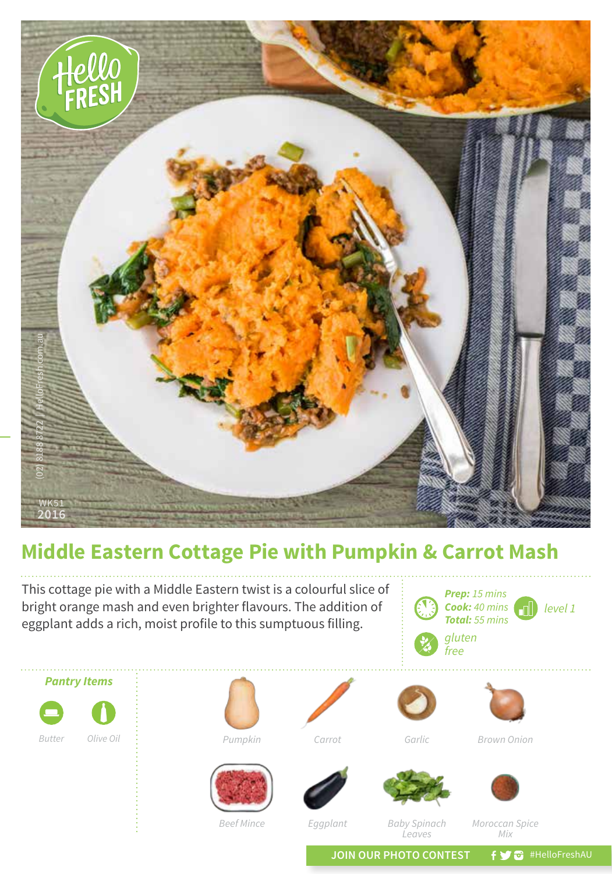

## **Middle Eastern Cottage Pie with Pumpkin & Carrot Mash**

This cottage pie with a Middle Eastern twist is a colourful slice of bright orange mash and even brighter flavours. The addition of eggplant adds a rich, moist profile to this sumptuous filling.

*Prep: 15 mins Cook: 40 mins* aN) *level 1 Total: 55 mins gluten free*





*Leaves*

*Baby Spinach* 

*Moroccan Spice Mix*

JOIN OUR PHOTO CONTEST **f y** a #HelloFreshAU